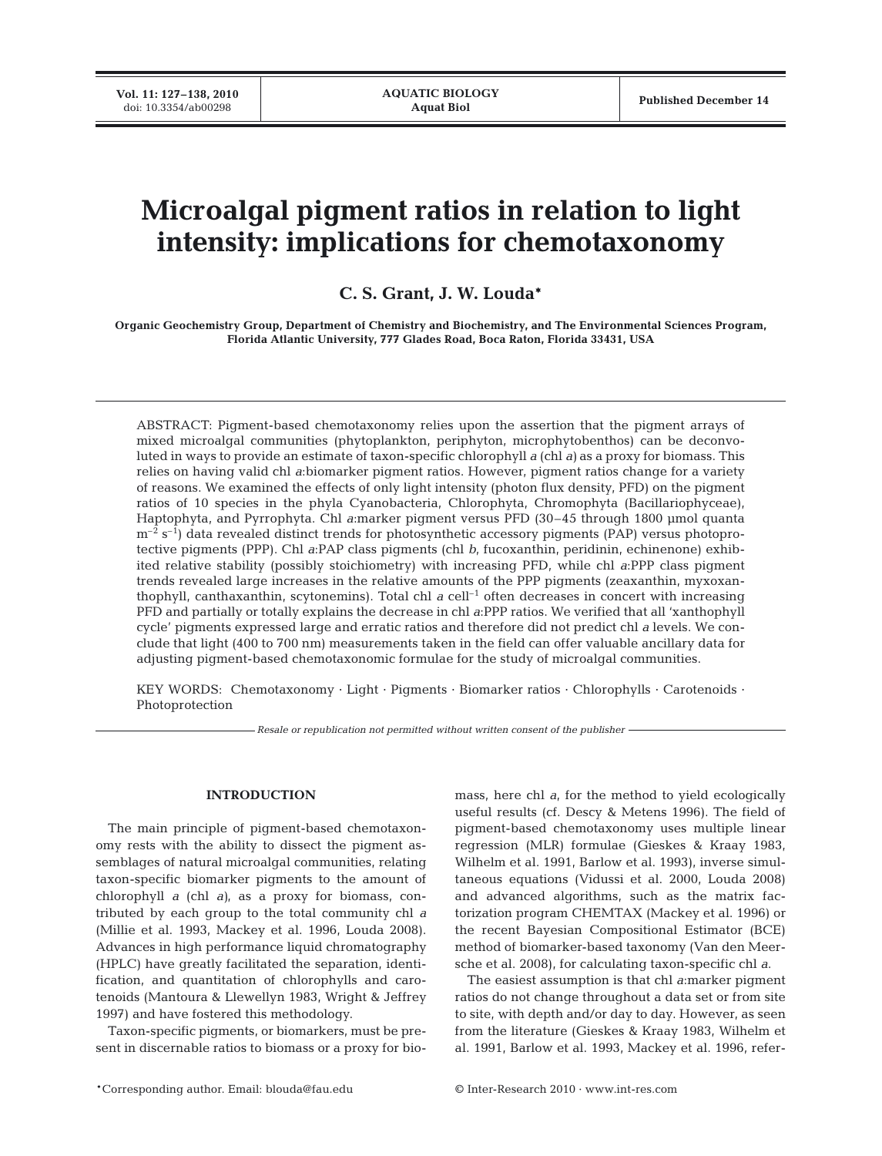# **Microalgal pigment ratios in relation to light intensity: implications for chemotaxonomy**

**C. S. Grant, J. W. Louda\***

**Organic Geochemistry Group, Department of Chemistry and Biochemistry, and The Environmental Sciences Program, Florida Atlantic University, 777 Glades Road, Boca Raton, Florida 33431, USA**

ABSTRACT: Pigment-based chemotaxonomy relies upon the assertion that the pigment arrays of mixed microalgal communities (phytoplankton, periphyton, microphytobenthos) can be deconvoluted in ways to provide an estimate of taxon-specific chlorophyll *a* (chl *a)* as a proxy for biomass. This relies on having valid chl *a*:biomarker pigment ratios. However, pigment ratios change for a variety of reasons. We examined the effects of only light intensity (photon flux density, PFD) on the pigment ratios of 10 species in the phyla Cyanobacteria, Chlorophyta, Chromophyta (Bacillariophyceae), Haptophyta, and Pyrrophyta. Chl *a*:marker pigment versus PFD (30–45 through 1800 µmol quanta  $m^{-2}$  s<sup>-1</sup>) data revealed distinct trends for photosynthetic accessory pigments (PAP) versus photoprotective pigments (PPP). Chl *a*:PAP class pigments (chl *b*, fucoxanthin, peridinin, echinenone) exhibited relative stability (possibly stoichiometry) with increasing PFD, while chl *a*:PPP class pigment trends revealed large increases in the relative amounts of the PPP pigments (zeaxanthin, myxoxanthophyll, canthaxanthin, scytonemins). Total chl *a* cell–1 often decreases in concert with increasing PFD and partially or totally explains the decrease in chl *a*:PPP ratios. We verified that all 'xanthophyll cycle' pigments expressed large and erratic ratios and therefore did not predict chl *a* levels. We conclude that light (400 to 700 nm) measurements taken in the field can offer valuable ancillary data for adjusting pigment-based chemotaxonomic formulae for the study of microalgal communities.

KEY WORDS: Chemotaxonomy · Light · Pigments · Biomarker ratios · Chlorophylls · Carotenoids · Photoprotection

*Resale or republication not permitted without written consent of the publisher*

## **INTRODUCTION**

The main principle of pigment-based chemotaxonomy rests with the ability to dissect the pigment assemblages of natural microalgal communities, relating taxon-specific biomarker pigments to the amount of chlorophyll *a* (chl *a)*, as a proxy for biomass, contributed by each group to the total community chl *a* (Millie et al. 1993, Mackey et al. 1996, Louda 2008). Advances in high performance liquid chromatography (HPLC) have greatly facilitated the separation, identification, and quantitation of chlorophylls and carotenoids (Mantoura & Llewellyn 1983, Wright & Jeffrey 1997) and have fostered this methodology.

Taxon-specific pigments, or biomarkers, must be present in discernable ratios to biomass or a proxy for biomass, here chl *a*, for the method to yield ecologically useful results (cf. Descy & Metens 1996). The field of pigment-based chemotaxonomy uses multiple linear regression (MLR) formulae (Gieskes & Kraay 1983, Wilhelm et al. 1991, Barlow et al. 1993), inverse simultaneous equations (Vidussi et al. 2000, Louda 2008) and advanced algorithms, such as the matrix factorization program CHEMTAX (Mackey et al. 1996) or the recent Bayesian Compositional Estimator (BCE) method of biomarker-based taxonomy (Van den Meersche et al. 2008), for calculating taxon-specific chl *a*.

The easiest assumption is that chl *a*:marker pigment ratios do not change throughout a data set or from site to site, with depth and/or day to day. However, as seen from the literature (Gieskes & Kraay 1983, Wilhelm et al. 1991, Barlow et al. 1993, Mackey et al. 1996, refer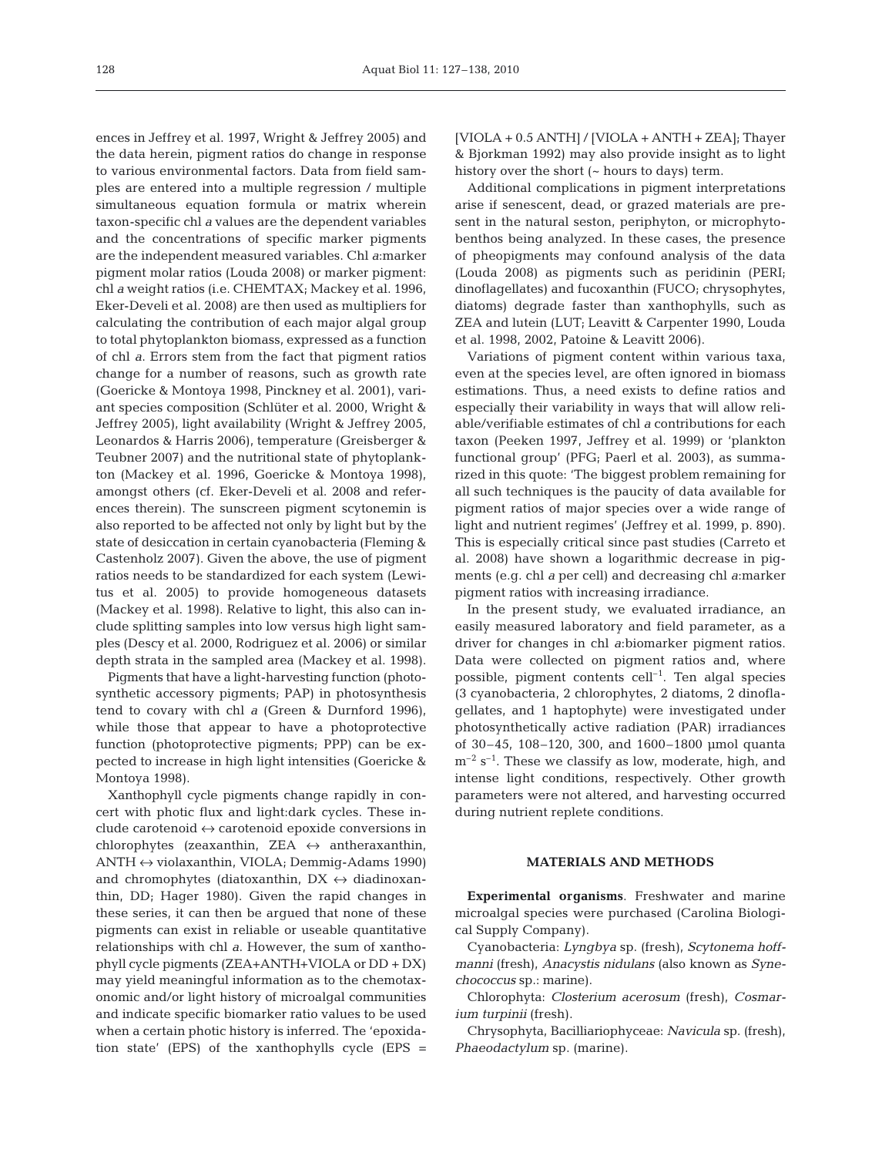ences in Jeffrey et al. 1997, Wright & Jeffrey 2005) and the data herein, pigment ratios do change in response to various environmental factors. Data from field samples are entered into a multiple regression / multiple simultaneous equation formula or matrix wherein taxon-specific chl *a* values are the dependent variables and the concentrations of specific marker pigments are the independent measured variables. Chl *a*:marker pigment molar ratios (Louda 2008) or marker pigment: chl *a* weight ratios (i.e. CHEMTAX; Mackey et al. 1996, Eker-Develi et al. 2008) are then used as multipliers for calculating the contribution of each major algal group to total phytoplankton biomass, expressed as a function of chl *a*. Errors stem from the fact that pigment ratios change for a number of reasons, such as growth rate (Goericke & Montoya 1998, Pinckney et al. 2001), variant species composition (Schlüter et al. 2000, Wright & Jeffrey 2005), light availability (Wright & Jeffrey 2005, Leonardos & Harris 2006), temperature (Greisberger & Teubner 2007) and the nutritional state of phytoplankton (Mackey et al. 1996, Goericke & Montoya 1998), amongst others (cf. Eker-Develi et al. 2008 and references therein). The sunscreen pigment scytonemin is also reported to be affected not only by light but by the state of desiccation in certain cyanobacteria (Fleming & Castenholz 2007). Given the above, the use of pigment ratios needs to be standardized for each system (Lewitus et al. 2005) to provide homogeneous datasets (Mackey et al. 1998). Relative to light, this also can include splitting samples into low versus high light samples (Descy et al. 2000, Rodriguez et al. 2006) or similar depth strata in the sampled area (Mackey et al. 1998).

Pigments that have a light-harvesting function (photosynthetic accessory pigments; PAP) in photosynthesis tend to covary with chl *a* (Green & Durnford 1996), while those that appear to have a photoprotective function (photoprotective pigments; PPP) can be expected to increase in high light intensities (Goericke & Montoya 1998).

Xanthophyll cycle pigments change rapidly in concert with photic flux and light:dark cycles. These include carotenoid  $\leftrightarrow$  carotenoid epoxide conversions in chlorophytes (zeaxanthin, ZEA  $\leftrightarrow$  antheraxanthin, ANTH ↔ violaxanthin, VIOLA; Demmig-Adams 1990) and chromophytes (diatoxanthin,  $DX \leftrightarrow$  diadinoxanthin, DD; Hager 1980). Given the rapid changes in these series, it can then be argued that none of these pigments can exist in reliable or useable quantitative relationships with chl *a*. However, the sum of xanthophyll cycle pigments (ZEA+ANTH+VIOLA or DD + DX) may yield meaningful information as to the chemotaxonomic and/or light history of microalgal communities and indicate specific biomarker ratio values to be used when a certain photic history is inferred. The 'epoxidation state' (EPS) of the xanthophylls cycle (EPS = [VIOLA + 0.5 ANTH] / [VIOLA + ANTH + ZEA]; Thayer & Bjorkman 1992) may also provide insight as to light history over the short (~ hours to days) term.

Additional complications in pigment interpretations arise if senescent, dead, or grazed materials are present in the natural seston, periphyton, or microphytobenthos being analyzed. In these cases, the presence of pheopigments may confound analysis of the data (Louda 2008) as pigments such as peridinin (PERI; dinoflagellates) and fucoxanthin (FUCO; chrysophytes, diatoms) degrade faster than xanthophylls, such as ZEA and lutein (LUT; Leavitt & Carpenter 1990, Louda et al. 1998, 2002, Patoine & Leavitt 2006).

Variations of pigment content within various taxa, even at the species level, are often ignored in biomass estimations. Thus, a need exists to define ratios and especially their variability in ways that will allow reliable/verifiable estimates of chl *a* contributions for each taxon (Peeken 1997, Jeffrey et al. 1999) or 'plankton functional group' (PFG; Paerl et al. 2003), as summarized in this quote: 'The biggest problem remaining for all such techniques is the paucity of data available for pigment ratios of major species over a wide range of light and nutrient regimes' (Jeffrey et al. 1999, p. 890). This is especially critical since past studies (Carreto et al. 2008) have shown a logarithmic decrease in pigments (e.g. chl *a* per cell) and decreasing chl *a*:marker pigment ratios with increasing irradiance.

In the present study, we evaluated irradiance, an easily measured laboratory and field parameter, as a driver for changes in chl *a*:biomarker pigment ratios. Data were collected on pigment ratios and, where possible, pigment contents cell–1. Ten algal species (3 cyanobacteria, 2 chlorophytes, 2 diatoms, 2 dinoflagellates, and 1 haptophyte) were investigated under photosynthetically active radiation (PAR) irradiances of 30–45, 108–120, 300, and 1600–1800 µmol quanta  $m^{-2}$  s<sup>-1</sup>. These we classify as low, moderate, high, and intense light conditions, respectively. Other growth parameters were not altered, and harvesting occurred during nutrient replete conditions.

# **MATERIALS AND METHODS**

**Experimental organisms**. Freshwater and marine microalgal species were purchased (Carolina Biological Supply Company).

Cyanobacteria: *Lyngbya* sp. (fresh), *Scytonema hoffmanni* (fresh), *Anacystis nidulans* (also known as *Synechococcus* sp.: marine).

Chlorophyta: *Closterium acerosum* (fresh), *Cosmarium turpinii* (fresh).

Chrysophyta, Bacilliariophyceae: *Navicula* sp. (fresh), *Phaeodactylum* sp. (marine).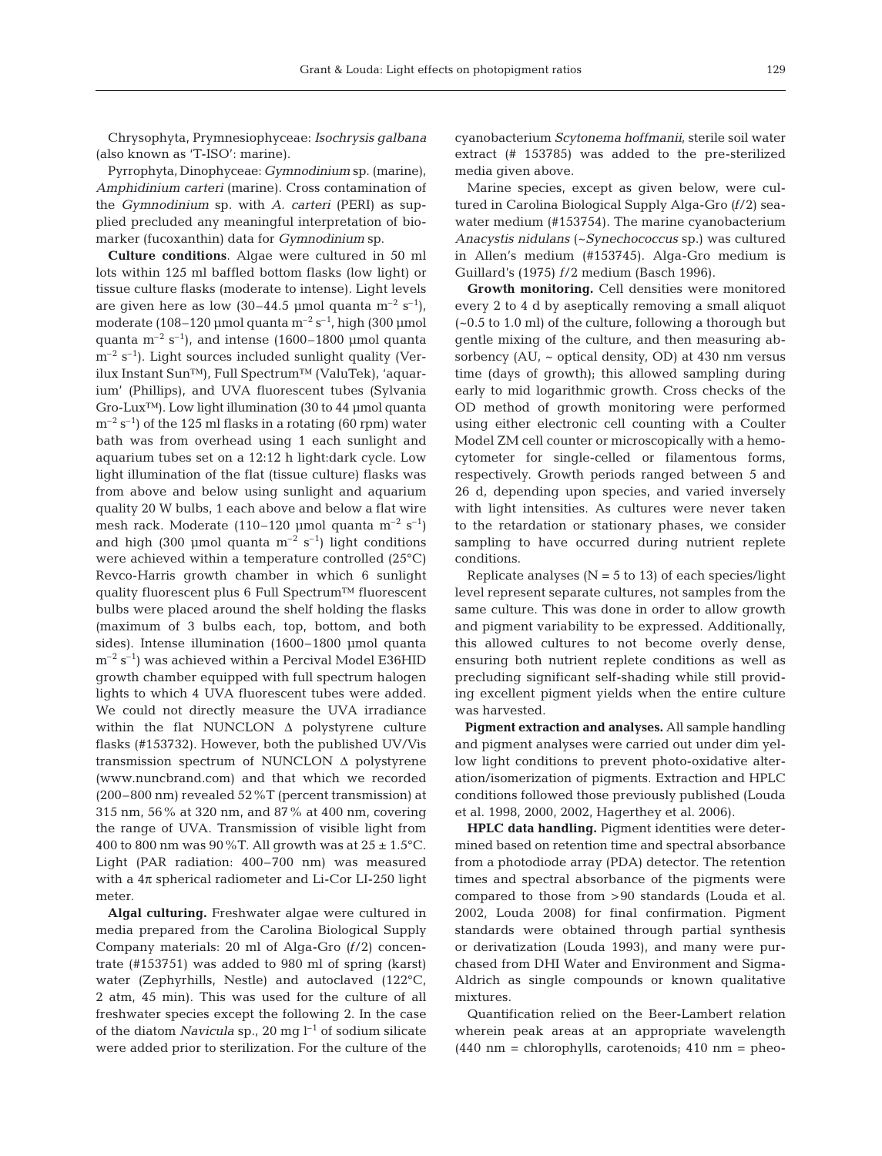Chrysophyta, Prymnesiophyceae: *Isochrysis galbana* (also known as 'T-ISO': marine).

Pyrrophyta, Dinophyceae: *Gymnodinium* sp. (marine), *Amphidinium carteri* (marine). Cross contamination of the *Gymnodinium* sp. with *A. carteri* (PERI) as supplied precluded any meaningful interpretation of biomarker (fucoxanthin) data for *Gymnodinium* sp.

**Culture conditions**. Algae were cultured in 50 ml lots within 125 ml baffled bottom flasks (low light) or tissue culture flasks (moderate to intense). Light levels are given here as low  $(30-44.5 \text{ \mu mol quanta m}^{-2} \text{ s}^{-1})$ , moderate (108–120 µmol quanta  $m^{-2} s^{-1}$ , high (300 µmol quanta  $m^{-2}$  s<sup>-1</sup>), and intense (1600–1800 µmol quanta  $m^{-2}$  s<sup>-1</sup>). Light sources included sunlight quality (Verilux Instant Sun™), Full Spectrum™ (ValuTek), 'aquarium' (Phillips), and UVA fluorescent tubes (Sylvania Gro-Lux™). Low light illumination (30 to 44 µmol quanta  $\rm m^{-2}$  s<sup>-1</sup>) of the 125 ml flasks in a rotating (60 rpm) water bath was from overhead using 1 each sunlight and aquarium tubes set on a 12:12 h light:dark cycle. Low light illumination of the flat (tissue culture) flasks was from above and below using sunlight and aquarium quality 20 W bulbs, 1 each above and below a flat wire mesh rack. Moderate (110–120 µmol quanta  $m^{-2}$  s<sup>-1</sup>) and high (300 µmol quanta  $m^{-2}$  s<sup>-1</sup>) light conditions were achieved within a temperature controlled (25°C) Revco-Harris growth chamber in which 6 sunlight quality fluorescent plus 6 Full Spectrum™ fluorescent bulbs were placed around the shelf holding the flasks (maximum of 3 bulbs each, top, bottom, and both sides). Intense illumination (1600–1800 µmol quanta  $m^{-2}$  s<sup>-1</sup>) was achieved within a Percival Model E36HID growth chamber equipped with full spectrum halogen lights to which 4 UVA fluorescent tubes were added. We could not directly measure the UVA irradiance within the flat NUNCLON Δ polystyrene culture flasks (#153732). However, both the published UV/Vis transmission spectrum of NUNCLON  $\Delta$  polystyrene (www.nuncbrand.com) and that which we recorded (200–800 nm) revealed 52%T (percent transmission) at 315 nm, 56% at 320 nm, and 87% at 400 nm, covering the range of UVA. Transmission of visible light from 400 to 800 nm was  $90\%$ T. All growth was at  $25 \pm 1.5$ °C. Light (PAR radiation: 400–700 nm) was measured with a  $4\pi$  spherical radiometer and Li-Cor LI-250 light meter.

**Algal culturing.** Freshwater algae were cultured in media prepared from the Carolina Biological Supply Company materials: 20 ml of Alga-Gro *(f*/2) concentrate (#153751) was added to 980 ml of spring (karst) water (Zephyrhills, Nestle) and autoclaved (122°C, 2 atm, 45 min). This was used for the culture of all freshwater species except the following 2. In the case of the diatom *Navicula* sp., 20 mg  $l^{-1}$  of sodium silicate were added prior to sterilization. For the culture of the cyanobacterium *Scytonema hoffmanii*, sterile soil water extract (# 153785) was added to the pre-sterilized media given above.

Marine species, except as given below, were cultured in Carolina Biological Supply Alga-Gro *(f*/2) seawater medium (#153754). The marine cyanobacterium *Anacystis nidulans* (~*Synechococcus* sp.) was cultured in Allen's medium (#153745). Alga-Gro medium is Guillard's (1975) *f*/2 medium (Basch 1996).

**Growth monitoring.** Cell densities were monitored every 2 to 4 d by aseptically removing a small aliquot (~0.5 to 1.0 ml) of the culture, following a thorough but gentle mixing of the culture, and then measuring absorbency (AU, ~ optical density, OD) at 430 nm versus time (days of growth); this allowed sampling during early to mid logarithmic growth. Cross checks of the OD method of growth monitoring were performed using either electronic cell counting with a Coulter Model ZM cell counter or microscopically with a hemocytometer for single-celled or filamentous forms, respectively. Growth periods ranged between 5 and 26 d, depending upon species, and varied inversely with light intensities. As cultures were never taken to the retardation or stationary phases, we consider sampling to have occurred during nutrient replete conditions.

Replicate analyses ( $N = 5$  to 13) of each species/light level represent separate cultures, not samples from the same culture. This was done in order to allow growth and pigment variability to be expressed. Additionally, this allowed cultures to not become overly dense, ensuring both nutrient replete conditions as well as precluding significant self-shading while still providing excellent pigment yields when the entire culture was harvested.

**Pigment extraction and analyses.** All sample handling and pigment analyses were carried out under dim yellow light conditions to prevent photo-oxidative alteration/isomerization of pigments. Extraction and HPLC conditions followed those previously published (Louda et al. 1998, 2000, 2002, Hagerthey et al. 2006).

**HPLC data handling.** Pigment identities were determined based on retention time and spectral absorbance from a photodiode array (PDA) detector. The retention times and spectral absorbance of the pigments were compared to those from >90 standards (Louda et al. 2002, Louda 2008) for final confirmation. Pigment standards were obtained through partial synthesis or derivatization (Louda 1993), and many were purchased from DHI Water and Environment and Sigma-Aldrich as single compounds or known qualitative mixtures.

Quantification relied on the Beer-Lambert relation wherein peak areas at an appropriate wavelength  $(440 \text{ nm} = \text{chlorophylls}, \text{carotenoids}; 410 \text{ nm} = \text{pheo}$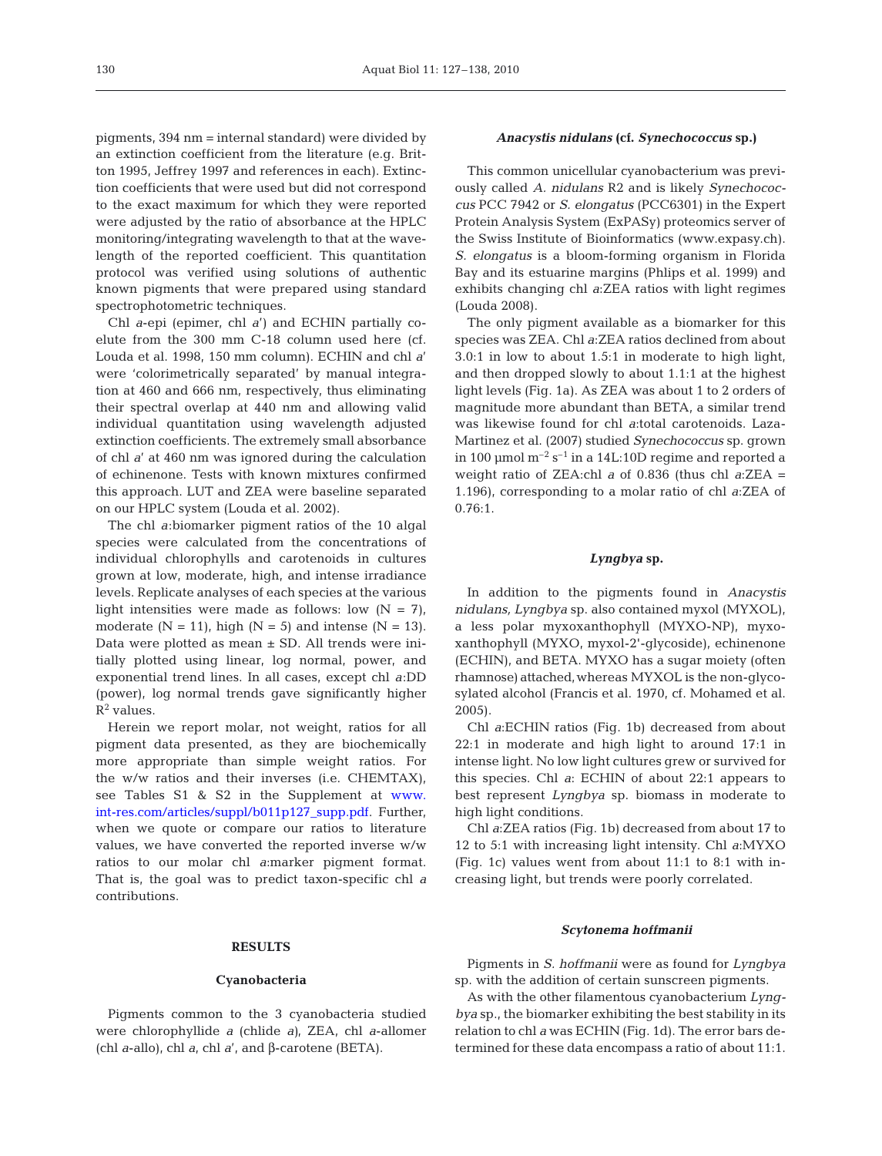pigments, 394 nm = internal standard) were divided by an extinction coefficient from the literature (e.g. Britton 1995, Jeffrey 1997 and references in each). Extinction coefficients that were used but did not correspond to the exact maximum for which they were reported were adjusted by the ratio of absorbance at the HPLC monitoring/integrating wavelength to that at the wavelength of the reported coefficient. This quantitation protocol was verified using solutions of authentic known pigments that were prepared using standard spectrophotometric techniques.

Chl *a*-epi (epimer, chl *a*') and ECHIN partially coelute from the 300 mm C-18 column used here (cf. Louda et al. 1998, 150 mm column). ECHIN and chl *a*' were 'colorimetrically separated' by manual integration at 460 and 666 nm, respectively, thus eliminating their spectral overlap at 440 nm and allowing valid individual quantitation using wavelength adjusted extinction coefficients. The extremely small absorbance of chl *a*' at 460 nm was ignored during the calculation of echinenone. Tests with known mixtures confirmed this approach. LUT and ZEA were baseline separated on our HPLC system (Louda et al. 2002).

The chl *a*:biomarker pigment ratios of the 10 algal species were calculated from the concentrations of individual chlorophylls and carotenoids in cultures grown at low, moderate, high, and intense irradiance levels. Replicate analyses of each species at the various light intensities were made as follows: low  $(N = 7)$ , moderate  $(N = 11)$ , high  $(N = 5)$  and intense  $(N = 13)$ . Data were plotted as mean  $\pm$  SD. All trends were initially plotted using linear, log normal, power, and exponential trend lines. In all cases, except chl *a*:DD (power), log normal trends gave significantly higher  $R^2$  values.

Herein we report molar, not weight, ratios for all pigment data presented, as they are biochemically more appropriate than simple weight ratios. For the w/w ratios and their inverses (i.e. CHEMTAX), see Tables S1 & S2 in the Supplement at [www.](http://www.int-res.com/articles/suppl/b011p127_supp.pdf) [int-res.com/articles/suppl/b011p127\\_supp.pdf.](http://www.int-res.com/articles/suppl/b011p127_supp.pdf) Further, when we quote or compare our ratios to literature values, we have converted the reported inverse w/w ratios to our molar chl *a*:marker pigment format. That is, the goal was to predict taxon-specific chl *a* contributions.

#### **RESULTS**

#### **Cyanobacteria**

Pigments common to the 3 cyanobacteria studied were chlorophyllide *a* (chlide *a)*, ZEA, chl *a*-allomer (chl *a*-allo), chl *a*, chl *a*', and β-carotene (BETA).

# *Anacystis nidulans* **(cf.** *Synechococcus* **sp.)**

This common unicellular cyanobacterium was previously called *A. nidulans* R2 and is likely *Synechococcus* PCC 7942 or *S. elongatus* (PCC6301) in the Expert Protein Analysis System (ExPASy) proteomics server of the Swiss Institute of Bioinformatics (www.expasy.ch). *S. elongatus* is a bloom-forming organism in Florida Bay and its estuarine margins (Phlips et al. 1999) and exhibits changing chl *a*:ZEA ratios with light regimes (Louda 2008).

The only pigment available as a biomarker for this species was ZEA. Chl *a*:ZEA ratios declined from about 3.0:1 in low to about 1.5:1 in moderate to high light, and then dropped slowly to about 1.1:1 at the highest light levels (Fig. 1a). As ZEA was about 1 to 2 orders of magnitude more abundant than BETA, a similar trend was likewise found for chl *a*:total carotenoids. Laza-Martinez et al. (2007) studied *Synechococcus* sp. grown in 100 µmol  $m^{-2}$  s<sup>-1</sup> in a 14L:10D regime and reported a weight ratio of ZEA:chl *a* of 0.836 (thus chl *a*:ZEA = 1.196), corresponding to a molar ratio of chl *a*:ZEA of 0.76:1.

#### *Lyngbya* **sp.**

In addition to the pigments found in *Anacystis nidulans, Lyngbya* sp. also contained myxol (MYXOL), a less polar myxoxanthophyll (MYXO-NP), myxoxanthophyll (MYXO, myxol-2'-glycoside), echinenone (ECHIN), and BETA. MYXO has a sugar moiety (often rhamnose) attached,whereas MYXOL is the non-glycosylated alcohol (Francis et al. 1970, cf. Mohamed et al. 2005).

Chl *a*:ECHIN ratios (Fig. 1b) decreased from about 22:1 in moderate and high light to around 17:1 in intense light. No low light cultures grew or survived for this species. Chl *a*: ECHIN of about 22:1 appears to best represent *Lyngbya* sp. biomass in moderate to high light conditions.

Chl *a*:ZEA ratios (Fig. 1b) decreased from about 17 to 12 to 5:1 with increasing light intensity. Chl *a*:MYXO (Fig. 1c) values went from about 11:1 to 8:1 with increasing light, but trends were poorly correlated.

#### *Scytonema hoffmanii*

Pigments in *S. hoffmanii* were as found for *Lyngbya* sp. with the addition of certain sunscreen pigments.

As with the other filamentous cyanobacterium *Lyngbya* sp., the biomarker exhibiting the best stability in its relation to chl *a* was ECHIN (Fig. 1d). The error bars determined for these data encompass a ratio of about 11:1.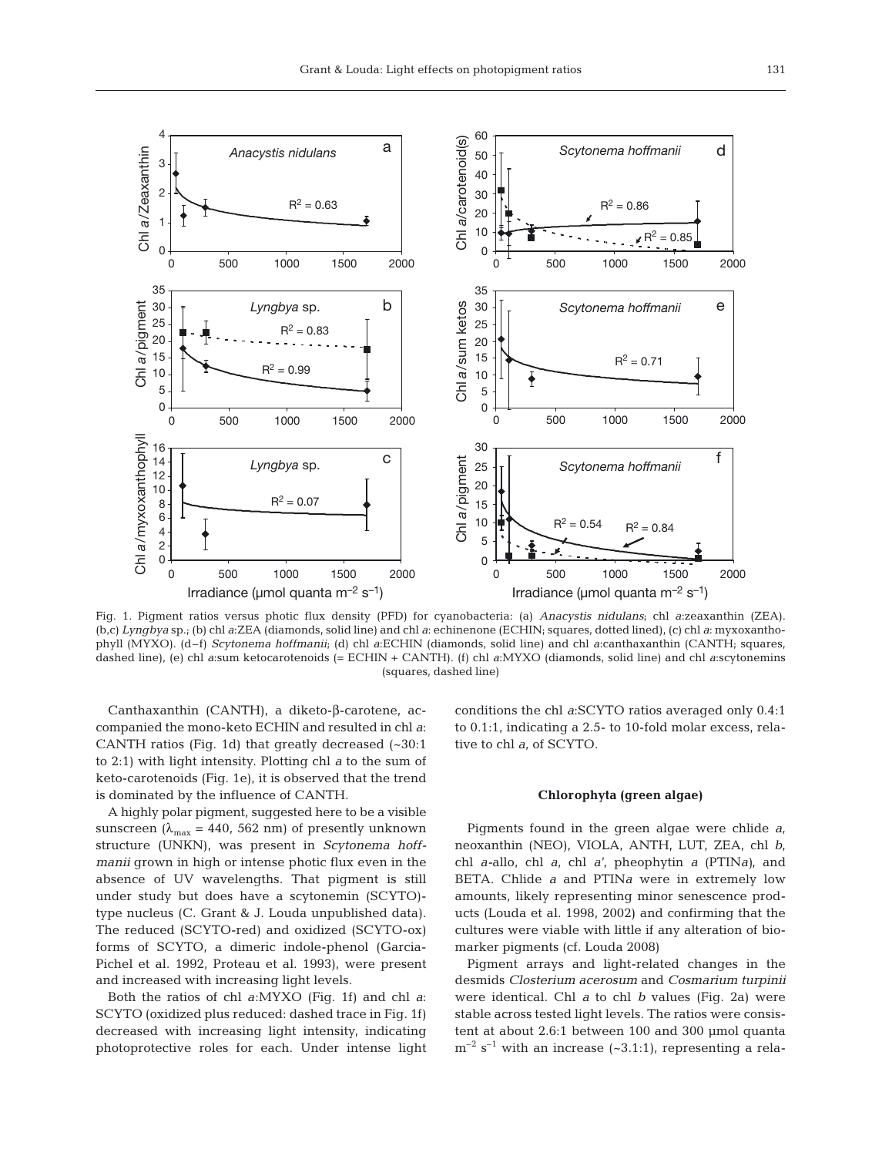

Fig. 1. Pigment ratios versus photic flux density (PFD) for cyanobacteria: (a) *Anacystis nidulans*; chl *a*:zeaxanthin (ZEA). (b,c) *Lyngbya* sp.; (b) chl *a*:ZEA (diamonds, solid line) and chl *a*: echinenone (ECHIN; squares, dotted lined), (c) chl *a*: myxoxanthophyll (MYXO). (d–f) *Scytonema hoffmanii*; (d) chl *a*:ECHIN (diamonds, solid line) and chl *a*:canthaxanthin (CANTH; squares, dashed line), (e) chl *a*:sum ketocarotenoids (= ECHIN + CANTH). (f) chl *a*:MYXO (diamonds, solid line) and chl *a*:scytonemins (squares, dashed line)

Canthaxanthin (CANTH), a diketo-β-carotene, accompanied the mono-keto ECHIN and resulted in chl *a*: CANTH ratios (Fig. 1d) that greatly decreased (~30:1 to 2:1) with light intensity. Plotting chl *a* to the sum of keto-carotenoids (Fig. 1e), it is observed that the trend is dominated by the influence of CANTH.

A highly polar pigment, suggested here to be a visible sunscreen ( $\lambda_{\text{max}}$  = 440, 562 nm) of presently unknown structure (UNKN), was present in *Scytonema hoffmanii* grown in high or intense photic flux even in the absence of UV wavelengths. That pigment is still under study but does have a scytonemin (SCYTO) type nucleus (C. Grant & J. Louda unpublished data). The reduced (SCYTO-red) and oxidized (SCYTO-ox) forms of SCYTO, a dimeric indole-phenol (Garcia-Pichel et al. 1992, Proteau et al. 1993), were present and increased with increasing light levels.

Both the ratios of chl *a*:MYXO (Fig. 1f) and chl *a*: SCYTO (oxidized plus reduced: dashed trace in Fig. 1f) decreased with increasing light intensity, indicating photoprotective roles for each. Under intense light conditions the chl *a*:SCYTO ratios averaged only 0.4:1 to 0.1:1, indicating a 2.5- to 10-fold molar excess, relative to chl *a*, of SCYTO.

#### **Chlorophyta (green algae)**

Pigments found in the green algae were chlide *a*, neoxanthin (NEO), VIOLA, ANTH, LUT, ZEA, chl *b*, chl *a-*allo, chl *a*, chl *a*', pheophytin *a* (PTIN*a)*, and BETA. Chlide *a* and PTIN*a* were in extremely low amounts, likely representing minor senescence products (Louda et al. 1998, 2002) and confirming that the cultures were viable with little if any alteration of biomarker pigments (cf. Louda 2008)

Pigment arrays and light-related changes in the desmids *Closterium acerosum* and *Cosmarium turpinii* were identical. Chl *a* to chl *b* values (Fig. 2a) were stable across tested light levels. The ratios were consistent at about 2.6:1 between 100 and 300 µmol quanta  $m^{-2}$  s<sup>-1</sup> with an increase (~3.1:1), representing a rela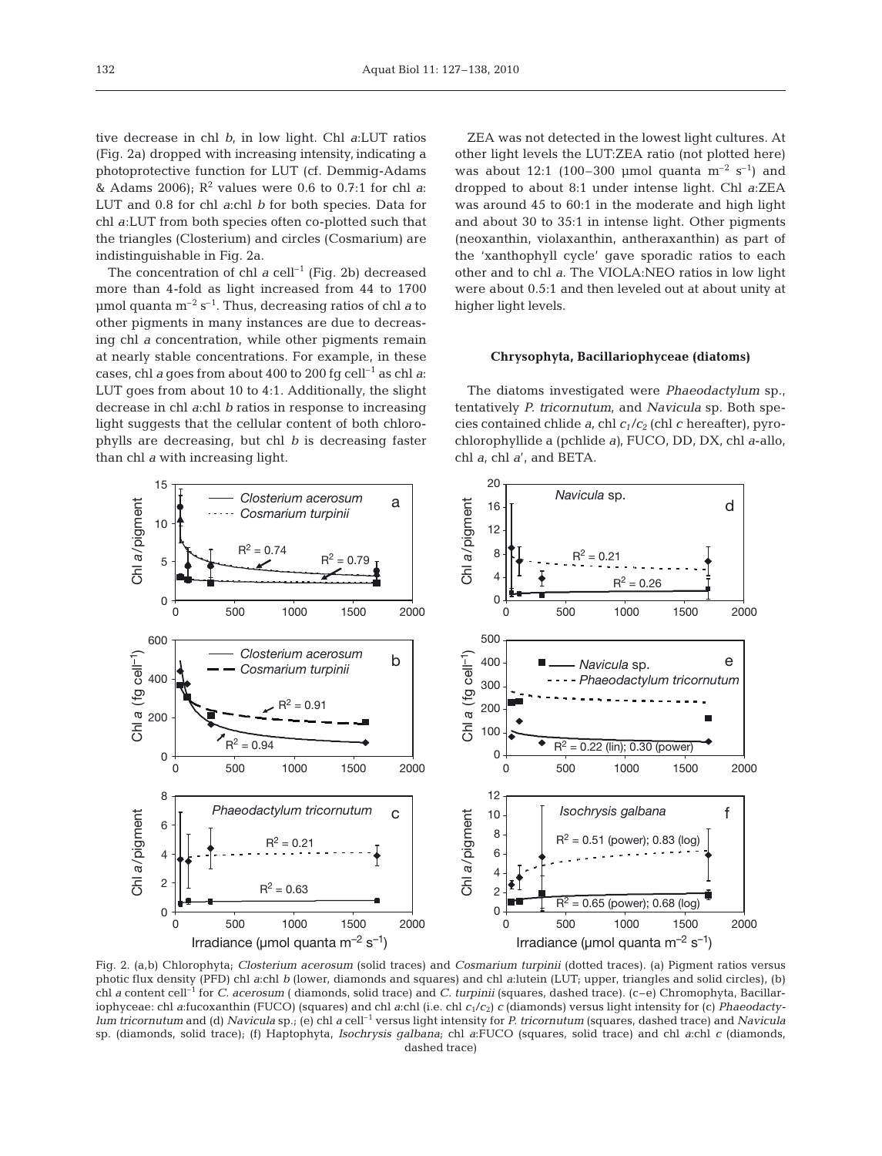tive decrease in chl *b*, in low light. Chl *a*:LUT ratios (Fig. 2a) dropped with increasing intensity, indicating a photoprotective function for LUT (cf. Demmig-Adams & Adams 2006);  $R^2$  values were 0.6 to 0.7:1 for chl *a*: LUT and 0.8 for chl *a*:chl *b* for both species. Data for chl *a*:LUT from both species often co-plotted such that the triangles (Closterium) and circles (Cosmarium) are indistinguishable in Fig. 2a.

The concentration of chl  $a$  cell<sup>-1</sup> (Fig. 2b) decreased more than 4-fold as light increased from 44 to 1700  $\mu$ mol quanta m<sup>-2</sup> s<sup>-1</sup>. Thus, decreasing ratios of chl *a* to other pigments in many instances are due to decreasing chl *a* concentration, while other pigments remain at nearly stable concentrations. For example, in these cases, chl *a* goes from about 400 to 200 fg cell<sup>-1</sup> as chl *a*: LUT goes from about 10 to 4:1. Additionally, the slight decrease in chl *a*:chl *b* ratios in response to increasing light suggests that the cellular content of both chlorophylls are decreasing, but chl *b* is decreasing faster than chl *a* with increasing light.

ZEA was not detected in the lowest light cultures. At other light levels the LUT:ZEA ratio (not plotted here) was about 12:1 (100–300 µmol quanta  $m^{-2}$  s<sup>-1</sup>) and dropped to about 8:1 under intense light. Chl *a*:ZEA was around 45 to 60:1 in the moderate and high light and about 30 to 35:1 in intense light. Other pigments (neoxanthin, violaxanthin, antheraxanthin) as part of the 'xanthophyll cycle' gave sporadic ratios to each other and to chl *a*. The VIOLA:NEO ratios in low light were about 0.5:1 and then leveled out at about unity at higher light levels.

#### **Chrysophyta, Bacillariophyceae (diatoms)**

The diatoms investigated were *Phaeodactylum* sp., tentatively *P. tricornutum*, and *Navicula* sp. Both species contained chlide *a*, chl *c1*/*c<sup>2</sup>* (chl *c* hereafter), pyrochlorophyllide a (pchlide *a)*, FUCO, DD, DX, chl *a*-allo, chl *a*, chl *a*', and BETA.



Fig. 2. (a,b) Chlorophyta; *Closterium acerosum* (solid traces) and *Cosmarium turpinii* (dotted traces). (a) Pigment ratios versus photic flux density (PFD) chl *a*:chl *b* (lower, diamonds and squares) and chl *a*:lutein (LUT; upper, triangles and solid circles), (b) chl *a* content cell–1 for *C. acerosum* ( diamonds, solid trace) and *C. turpinii* (squares, dashed trace). (c–e) Chromophyta, Bacillariophyceae: chl *a*:fucoxanthin (FUCO) (squares) and chl *a*:chl (i.e. chl *c*1/*c*2) *c* (diamonds) versus light intensity for (c) *Phaeodactylum tricornutum* and (d) *Navicula* sp.; (e) chl *a* cell–1 versus light intensity for *P. tricornutum* (squares, dashed trace) and *Navicula* sp. (diamonds, solid trace); (f) Haptophyta, *Isochrysis galbana*; chl *a*:FUCO (squares, solid trace) and chl *a*:chl *c* (diamonds, dashed trace)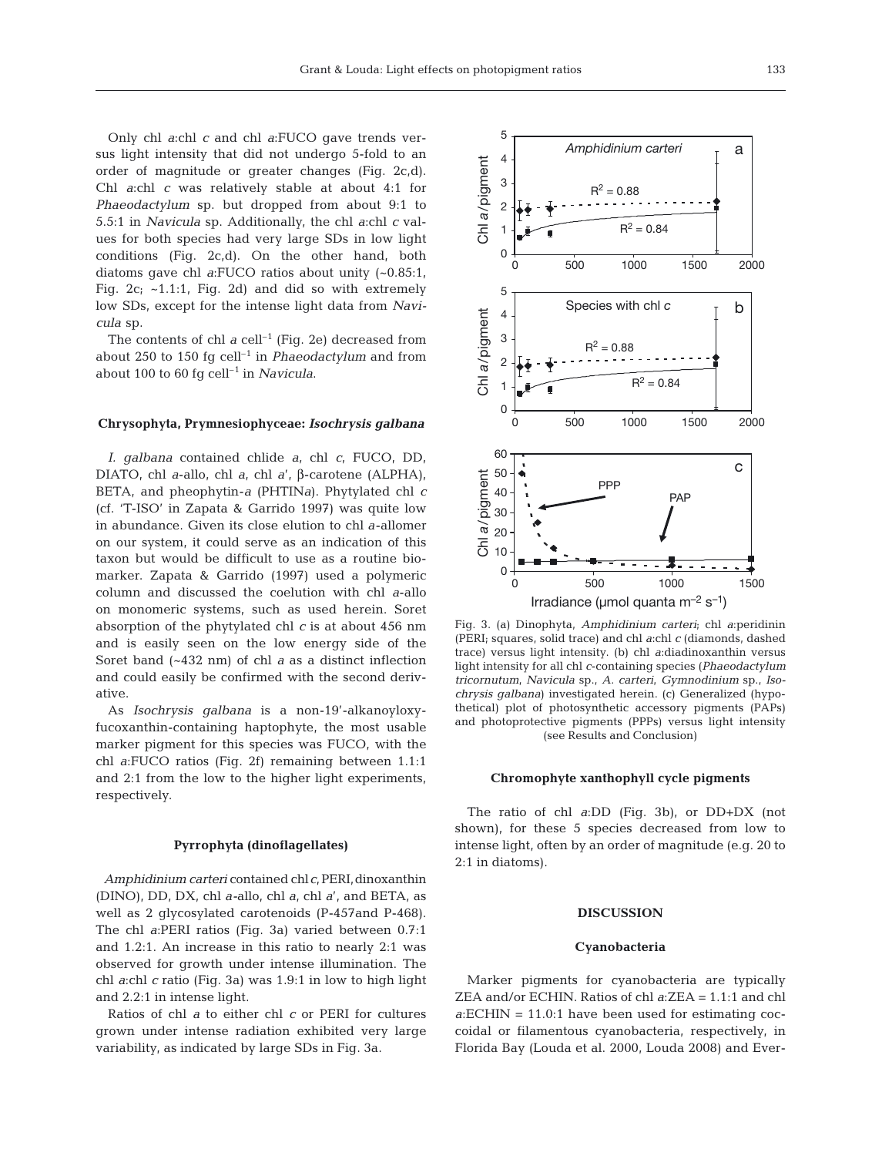Only chl *a*:chl *c* and chl *a*:FUCO gave trends versus light intensity that did not undergo 5-fold to an order of magnitude or greater changes (Fig. 2c,d). Chl *a*:chl *c* was relatively stable at about 4:1 for *Phaeodactylum* sp. but dropped from about 9:1 to 5.5:1 in *Navicula* sp. Additionally, the chl *a*:chl *c* values for both species had very large SDs in low light conditions (Fig. 2c,d). On the other hand, both diatoms gave chl *a*:FUCO ratios about unity (~0.85:1, Fig.  $2c$ ;  $\sim$ 1.1:1, Fig. 2d) and did so with extremely low SDs, except for the intense light data from *Navicula* sp.

The contents of chl  $a$  cell<sup>-1</sup> (Fig. 2e) decreased from about 250 to 150 fg cell–1 in *Phaeodactylum* and from about 100 to 60 fg cell<sup>-1</sup> in *Navicula*.

#### **Chrysophyta, Prymnesiophyceae:** *Isochrysis galbana*

*I. galbana* contained chlide *a*, chl *c*, FUCO, DD, DIATO, chl *a*-allo, chl *a*, chl *a*', β-carotene (ALPHA), BETA, and pheophytin-*a* (PHTIN*a*). Phytylated chl *c* (cf. 'T-ISO' in Zapata & Garrido 1997) was quite low in abundance. Given its close elution to chl *a*-allomer on our system, it could serve as an indication of this taxon but would be difficult to use as a routine biomarker. Zapata & Garrido (1997) used a polymeric column and discussed the coelution with chl *a*-allo on monomeric systems, such as used herein. Soret absorption of the phytylated chl *c* is at about 456 nm and is easily seen on the low energy side of the Soret band (~432 nm) of chl *a* as a distinct inflection and could easily be confirmed with the second derivative.

As *Isochrysis galbana* is a non-19'-alkanoyloxyfucoxanthin-containing haptophyte, the most usable marker pigment for this species was FUCO, with the chl *a*:FUCO ratios (Fig. 2f) remaining between 1.1:1 and 2:1 from the low to the higher light experiments, respectively.

#### **Pyrrophyta (dinoflagellates)**

*Amphidinium carteri* contained chl*c*,PERI,dinoxanthin (DINO), DD, DX, chl *a-*allo, chl *a*, chl *a*', and BETA, as well as 2 glycosylated carotenoids (P-457and P-468). The chl *a*:PERI ratios (Fig. 3a) varied between 0.7:1 and 1.2:1. An increase in this ratio to nearly 2:1 was observed for growth under intense illumination. The chl *a*:chl *c* ratio (Fig. 3a) was 1.9:1 in low to high light and 2.2:1 in intense light.

Ratios of chl *a* to either chl *c* or PERI for cultures grown under intense radiation exhibited very large variability, as indicated by large SDs in Fig. 3a.



Fig. 3. (a) Dinophyta, *Amphidinium carteri*; chl *a*:peridinin (PERI; squares, solid trace) and chl *a*:chl *c* (diamonds, dashed trace) versus light intensity. (b) chl *a*:diadinoxanthin versus light intensity for all chl *c*-containing species (*Phaeodactylum tricornutum*, *Navicula* sp., *A. carteri*, *Gymnodinium* sp., *Isochrysis galbana*) investigated herein. (c) Generalized (hypothetical) plot of photosynthetic accessory pigments (PAPs) and photoprotective pigments (PPPs) versus light intensity (see Results and Conclusion)

#### **Chromophyte xanthophyll cycle pigments**

The ratio of chl *a*:DD (Fig. 3b), or DD+DX (not shown), for these 5 species decreased from low to intense light, often by an order of magnitude (e.g. 20 to 2:1 in diatoms).

## **DISCUSSION**

#### **Cyanobacteria**

Marker pigments for cyanobacteria are typically ZEA and/or ECHIN. Ratios of chl *a*:ZEA = 1.1:1 and chl *a*:ECHIN = 11.0:1 have been used for estimating coccoidal or filamentous cyanobacteria, respectively, in Florida Bay (Louda et al. 2000, Louda 2008) and Ever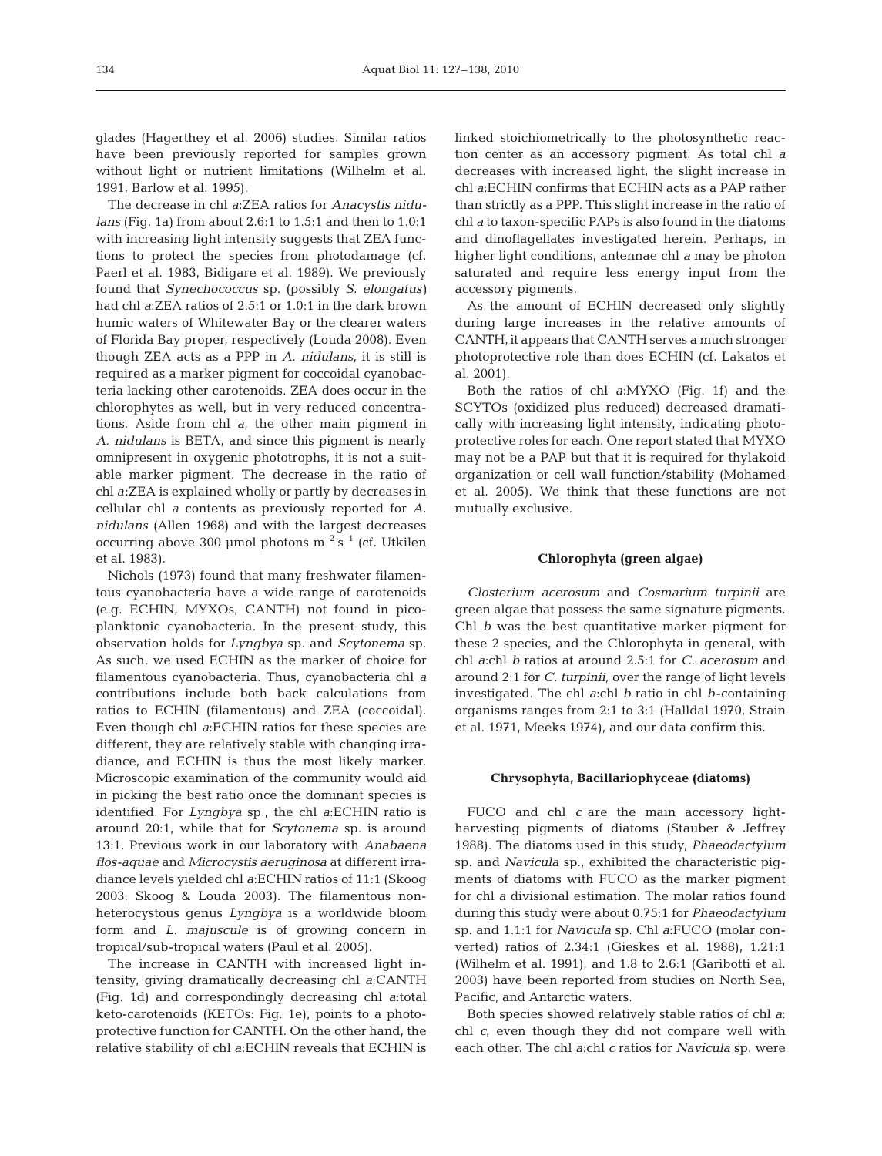glades (Hagerthey et al. 2006) studies. Similar ratios have been previously reported for samples grown without light or nutrient limitations (Wilhelm et al. 1991, Barlow et al. 1995).

The decrease in chl *a*:ZEA ratios for *Anacystis nidulans* (Fig. 1a) from about 2.6:1 to 1.5:1 and then to 1.0:1 with increasing light intensity suggests that ZEA functions to protect the species from photodamage (cf. Paerl et al. 1983, Bidigare et al. 1989). We previously found that *Synechococcus* sp. (possibly *S. elongatus)* had chl *a*:ZEA ratios of 2.5:1 or 1.0:1 in the dark brown humic waters of Whitewater Bay or the clearer waters of Florida Bay proper, respectively (Louda 2008). Even though ZEA acts as a PPP in *A. nidulans*, it is still is required as a marker pigment for coccoidal cyanobacteria lacking other carotenoids. ZEA does occur in the chlorophytes as well, but in very reduced concentrations. Aside from chl *a*, the other main pigment in *A. nidulans* is BETA, and since this pigment is nearly omnipresent in oxygenic phototrophs, it is not a suitable marker pigment. The decrease in the ratio of chl *a*:ZEA is explained wholly or partly by decreases in cellular chl *a* contents as previously reported for *A. nidulans* (Allen 1968) and with the largest decreases occurring above 300 µmol photons  $m^{-2}$  s<sup>-1</sup> (cf. Utkilen et al. 1983).

Nichols (1973) found that many freshwater filamentous cyanobacteria have a wide range of carotenoids (e.g. ECHIN, MYXOs, CANTH) not found in picoplanktonic cyanobacteria. In the present study, this observation holds for *Lyngbya* sp. and *Scytonema* sp. As such, we used ECHIN as the marker of choice for filamentous cyanobacteria. Thus, cyanobacteria chl *a* contributions include both back calculations from ratios to ECHIN (filamentous) and ZEA (coccoidal). Even though chl *a*:ECHIN ratios for these species are different, they are relatively stable with changing irradiance, and ECHIN is thus the most likely marker. Microscopic examination of the community would aid in picking the best ratio once the dominant species is identified. For *Lyngbya* sp., the chl *a*:ECHIN ratio is around 20:1, while that for *Scytonema* sp. is around 13:1. Previous work in our laboratory with *Anabaena flos-aquae* and *Microcystis aeruginosa* at different irradiance levels yielded chl *a*:ECHIN ratios of 11:1 (Skoog 2003, Skoog & Louda 2003). The filamentous nonheterocystous genus *Lyngbya* is a worldwide bloom form and *L. majuscule* is of growing concern in tropical/sub-tropical waters (Paul et al. 2005).

The increase in CANTH with increased light intensity, giving dramatically decreasing chl *a*:CANTH (Fig. 1d) and correspondingly decreasing chl *a*:total keto-carotenoids (KETOs: Fig. 1e), points to a photoprotective function for CANTH. On the other hand, the relative stability of chl *a*:ECHIN reveals that ECHIN is

linked stoichiometrically to the photosynthetic reaction center as an accessory pigment. As total chl *a* decreases with increased light, the slight increase in chl *a*:ECHIN confirms that ECHIN acts as a PAP rather than strictly as a PPP. This slight increase in the ratio of chl *a* to taxon-specific PAPs is also found in the diatoms and dinoflagellates investigated herein. Perhaps, in higher light conditions, antennae chl *a* may be photon saturated and require less energy input from the accessory pigments.

As the amount of ECHIN decreased only slightly during large increases in the relative amounts of CANTH, it appears that CANTH serves a much stronger photoprotective role than does ECHIN (cf. Lakatos et al. 2001).

Both the ratios of chl *a*:MYXO (Fig. 1f) and the SCYTOs (oxidized plus reduced) decreased dramatically with increasing light intensity, indicating photoprotective roles for each. One report stated that MYXO may not be a PAP but that it is required for thylakoid organization or cell wall function/stability (Mohamed et al. 2005). We think that these functions are not mutually exclusive.

#### **Chlorophyta (green algae)**

*Closterium acerosum* and *Cosmarium turpinii* are green algae that possess the same signature pigments. Chl *b* was the best quantitative marker pigment for these 2 species, and the Chlorophyta in general, with chl *a*:chl *b* ratios at around 2.5:1 for *C. acerosum* and around 2:1 for *C. turpinii,* over the range of light levels investigated. The chl *a*:chl *b* ratio in chl *b*-containing organisms ranges from 2:1 to 3:1 (Halldal 1970, Strain et al. 1971, Meeks 1974), and our data confirm this.

#### **Chrysophyta, Bacillariophyceae (diatoms)**

FUCO and chl *c* are the main accessory lightharvesting pigments of diatoms (Stauber & Jeffrey 1988). The diatoms used in this study, *Phaeodactylum* sp. and *Navicula* sp., exhibited the characteristic pigments of diatoms with FUCO as the marker pigment for chl *a* divisional estimation. The molar ratios found during this study were about 0.75:1 for *Phaeodactylum* sp. and 1.1:1 for *Navicula* sp. Chl *a*:FUCO (molar converted) ratios of 2.34:1 (Gieskes et al. 1988), 1.21:1 (Wilhelm et al. 1991), and 1.8 to 2.6:1 (Garibotti et al. 2003) have been reported from studies on North Sea, Pacific, and Antarctic waters.

Both species showed relatively stable ratios of chl *a*: chl *c*, even though they did not compare well with each other. The chl *a*:chl *c* ratios for *Navicula* sp. were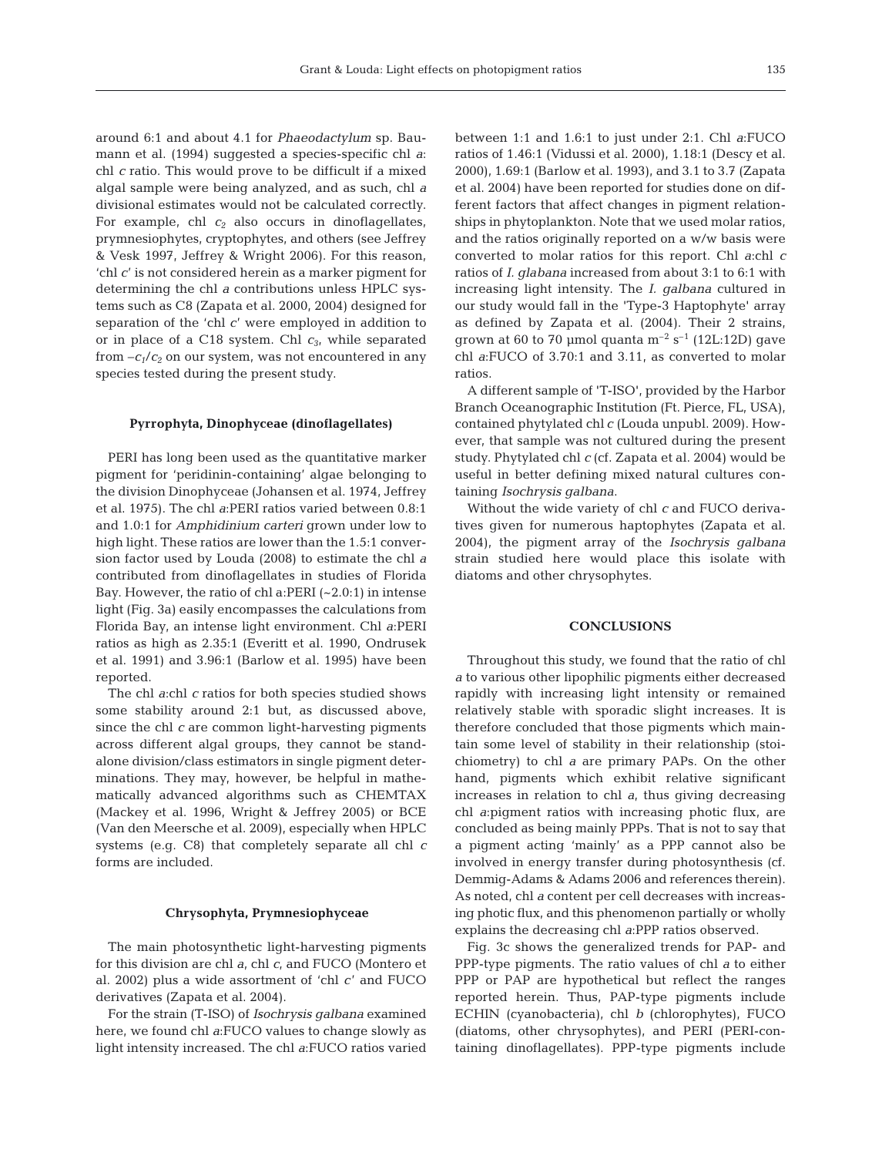around 6:1 and about 4.1 for *Phaeodactylum* sp. Baumann et al. (1994) suggested a species-specific chl *a*: chl *c* ratio. This would prove to be difficult if a mixed algal sample were being analyzed, and as such, chl *a* divisional estimates would not be calculated correctly. For example, chl *c<sup>2</sup>* also occurs in dinoflagellates, prymnesiophytes, cryptophytes, and others (see Jeffrey & Vesk 1997, Jeffrey & Wright 2006). For this reason, 'chl *c*' is not considered herein as a marker pigment for determining the chl *a* contributions unless HPLC systems such as C8 (Zapata et al. 2000, 2004) designed for separation of the 'chl *c*' were employed in addition to or in place of a C18 system. Chl *c3*, while separated from  $-c_1/c_2$  on our system, was not encountered in any species tested during the present study.

#### **Pyrrophyta, Dinophyceae (dinoflagellates)**

PERI has long been used as the quantitative marker pigment for 'peridinin-containing' algae belonging to the division Dinophyceae (Johansen et al. 1974, Jeffrey et al. 1975). The chl *a*:PERI ratios varied between 0.8:1 and 1.0:1 for *Amphidinium carteri* grown under low to high light. These ratios are lower than the 1.5:1 conversion factor used by Louda (2008) to estimate the chl *a* contributed from dinoflagellates in studies of Florida Bay. However, the ratio of chl a: PERI  $(-2.0:1)$  in intense light (Fig. 3a) easily encompasses the calculations from Florida Bay, an intense light environment. Chl *a*:PERI ratios as high as 2.35:1 (Everitt et al. 1990, Ondrusek et al. 1991) and 3.96:1 (Barlow et al. 1995) have been reported.

The chl *a*:chl *c* ratios for both species studied shows some stability around 2:1 but, as discussed above, since the chl *c* are common light-harvesting pigments across different algal groups, they cannot be standalone division/class estimators in single pigment determinations. They may, however, be helpful in mathematically advanced algorithms such as CHEMTAX (Mackey et al. 1996, Wright & Jeffrey 2005) or BCE (Van den Meersche et al. 2009), especially when HPLC systems (e.g. C8) that completely separate all chl *c* forms are included.

#### **Chrysophyta, Prymnesiophyceae**

The main photosynthetic light-harvesting pigments for this division are chl *a*, chl *c*, and FUCO (Montero et al. 2002) plus a wide assortment of 'chl *c*' and FUCO derivatives (Zapata et al. 2004).

For the strain (T-ISO) of *Isochrysis galbana* examined here, we found chl *a*:FUCO values to change slowly as light intensity increased. The chl *a*:FUCO ratios varied between 1:1 and 1.6:1 to just under 2:1. Chl *a*:FUCO ratios of 1.46:1 (Vidussi et al. 2000), 1.18:1 (Descy et al. 2000), 1.69:1 (Barlow et al. 1993), and 3.1 to 3.7 (Zapata et al. 2004) have been reported for studies done on different factors that affect changes in pigment relationships in phytoplankton. Note that we used molar ratios, and the ratios originally reported on a w/w basis were converted to molar ratios for this report. Chl *a*:chl *c* ratios of *I. glabana* increased from about 3:1 to 6:1 with increasing light intensity. The *I. galbana* cultured in our study would fall in the 'Type-3 Haptophyte' array as defined by Zapata et al. (2004). Their 2 strains, grown at 60 to 70 µmol quanta  $m^{-2}$  s<sup>-1</sup> (12L:12D) gave chl *a*:FUCO of 3.70:1 and 3.11, as converted to molar ratios.

A different sample of 'T-ISO', provided by the Harbor Branch Oceanographic Institution (Ft. Pierce, FL, USA), contained phytylated chl *c* (Louda unpubl. 2009). However, that sample was not cultured during the present study. Phytylated chl *c* (cf. Zapata et al. 2004) would be useful in better defining mixed natural cultures containing *Isochrysis galbana*.

Without the wide variety of chl *c* and FUCO derivatives given for numerous haptophytes (Zapata et al. 2004), the pigment array of the *Isochrysis galbana* strain studied here would place this isolate with diatoms and other chrysophytes.

# **CONCLUSIONS**

Throughout this study, we found that the ratio of chl *a* to various other lipophilic pigments either decreased rapidly with increasing light intensity or remained relatively stable with sporadic slight increases. It is therefore concluded that those pigments which maintain some level of stability in their relationship (stoichiometry) to chl *a* are primary PAPs. On the other hand, pigments which exhibit relative significant increases in relation to chl *a*, thus giving decreasing chl *a*:pigment ratios with increasing photic flux, are concluded as being mainly PPPs. That is not to say that a pigment acting 'mainly' as a PPP cannot also be involved in energy transfer during photosynthesis (cf. Demmig-Adams & Adams 2006 and references therein). As noted, chl *a* content per cell decreases with increasing photic flux, and this phenomenon partially or wholly explains the decreasing chl *a*:PPP ratios observed.

Fig. 3c shows the generalized trends for PAP- and PPP-type pigments. The ratio values of chl *a* to either PPP or PAP are hypothetical but reflect the ranges reported herein. Thus, PAP-type pigments include ECHIN (cyanobacteria), chl *b* (chlorophytes), FUCO (diatoms, other chrysophytes), and PERI (PERI-containing dinoflagellates). PPP-type pigments include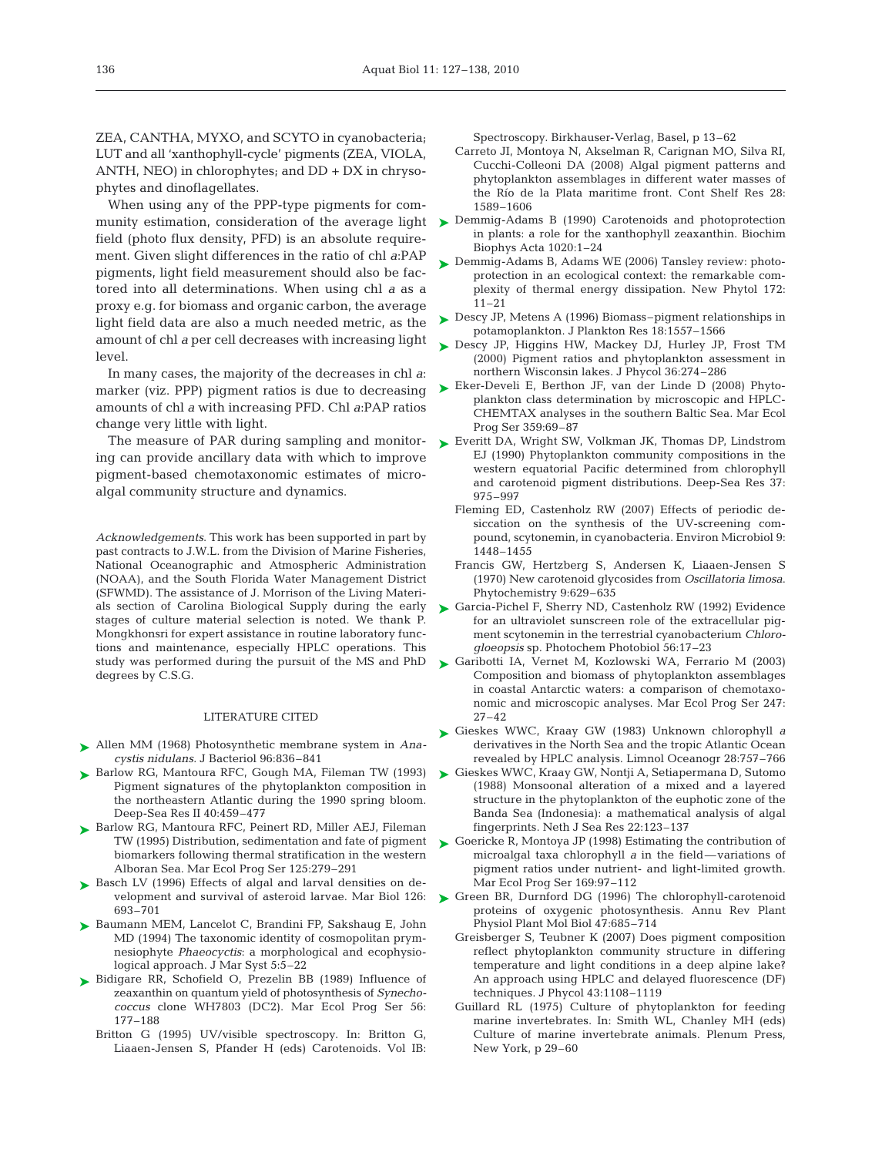ZEA, CANTHA, MYXO, and SCYTO in cyanobacteria; LUT and all 'xanthophyll-cycle' pigments (ZEA, VIOLA, ANTH, NEO) in chlorophytes; and DD + DX in chrysophytes and dinoflagellates.

When using any of the PPP-type pigments for community estimation, consideration of the average light field (photo flux density, PFD) is an absolute requirement. Given slight differences in the ratio of chl *a*:PAP pigments, light field measurement should also be factored into all determinations. When using chl *a* as a proxy e.g. for biomass and organic carbon, the average light field data are also a much needed metric, as the amount of chl *a* per cell decreases with increasing light level.

In many cases, the majority of the decreases in chl *a*: marker (viz. PPP) pigment ratios is due to decreasing amounts of chl *a* with increasing PFD. Chl *a*:PAP ratios change very little with light.

The measure of PAR during sampling and monitoring can provide ancillary data with which to improve pigment-based chemotaxonomic estimates of microalgal community structure and dynamics.

*Acknowledgements*. This work has been supported in part by past contracts to J.W.L. from the Division of Marine Fisheries, National Oceanographic and Atmospheric Administration (NOAA), and the South Florida Water Management District (SFWMD). The assistance of J. Morrison of the Living Materials section of Carolina Biological Supply during the early stages of culture material selection is noted. We thank P. Mongkhonsri for expert assistance in routine laboratory functions and maintenance, especially HPLC operations. This study was performed during the pursuit of the MS and PhD degrees by C.S.G.

#### LITERATURE CITED

- Allen MM (1968) Photosynthetic membrane system in *Ana-*➤ *cystis nidulans.* J Bacteriol 96:836–841
- ▶ Barlow RG, Mantoura RFC, Gough MA, Fileman TW (1993) Pigment signatures of the phytoplankton composition in the northeastern Atlantic during the 1990 spring bloom. Deep-Sea Res II 40:459–477
- ▶ Barlow RG, Mantoura RFC, Peinert RD, Miller AEJ, Fileman TW (1995) Distribution, sedimentation and fate of pigment biomarkers following thermal stratification in the western Alboran Sea. Mar Ecol Prog Ser 125:279–291
- ▶ Basch LV (1996) Effects of algal and larval densities on development and survival of asteroid larvae. Mar Biol 126: 693–701
- ▶ Baumann MEM, Lancelot C, Brandini FP, Sakshaug E, John MD (1994) The taxonomic identity of cosmopolitan prymnesiophyte *Phaeocyctis*: a morphological and ecophysiological approach. J Mar Syst 5:5–22
- ▶ Bidigare RR, Schofield O, Prezelin BB (1989) Influence of zeaxanthin on quantum yield of photosynthesis of *Synechococcus* clone WH7803 (DC2). Mar Ecol Prog Ser 56: 177–188
	- Britton G (1995) UV/visible spectroscopy. In: Britton G, Liaaen-Jensen S, Pfander H (eds) Carotenoids. Vol IB:

Spectroscopy. Birkhauser-Verlag, Basel, p 13–62

- Carreto JI, Montoya N, Akselman R, Carignan MO, Silva RI, Cucchi-Colleoni DA (2008) Algal pigment patterns and phytoplankton assemblages in different water masses of the Río de la Plata maritime front. Cont Shelf Res 28: 1589–1606
- ► Demmig-Adams B (1990) Carotenoids and photoprotection in plants: a role for the xanthophyll zeaxanthin. Biochim Biophys Acta 1020:1–24
- ▶ Demmig-Adams B, Adams WE (2006) Tansley review: photoprotection in an ecological context: the remarkable complexity of thermal energy dissipation. New Phytol 172: 11–21
- ► Descy JP, Metens A (1996) Biomass–pigment relationships in potamoplankton. J Plankton Res 18:1557–1566
- ► Descy JP, Higgins HW, Mackey DJ, Hurley JP, Frost TM (2000) Pigment ratios and phytoplankton assessment in northern Wisconsin lakes. J Phycol 36:274–286
- ► Eker-Develi E, Berthon JF, van der Linde D (2008) Phytoplankton class determination by microscopic and HPLC-CHEMTAX analyses in the southern Baltic Sea. Mar Ecol Prog Ser 359:69–87
- ► Everitt DA, Wright SW, Volkman JK, Thomas DP, Lindstrom EJ (1990) Phytoplankton community compositions in the western equatorial Pacific determined from chlorophyll and carotenoid pigment distributions. Deep-Sea Res 37: 975–997
	- Fleming ED, Castenholz RW (2007) Effects of periodic desiccation on the synthesis of the UV-screening compound, scytonemin, in cyanobacteria. Environ Microbiol 9: 1448–1455
	- Francis GW, Hertzberg S, Andersen K, Liaaen-Jensen S (1970) New carotenoid glycosides from *Oscillatoria limosa*. Phytochemistry 9:629–635
- ► Garcia-Pichel F, Sherry ND, Castenholz RW (1992) Evidence for an ultraviolet sunscreen role of the extracellular pigment scytonemin in the terrestrial cyanobacterium *Chlorogloeopsis* sp. Photochem Photobiol 56:17–23
- Garibotti IA, Vernet M, Kozlowski WA, Ferrario M (2003) ➤ Composition and biomass of phytoplankton assemblages in coastal Antarctic waters: a comparison of chemotaxonomic and microscopic analyses. Mar Ecol Prog Ser 247: 27–42
- Gieskes WWC, Kraay GW (1983) Unknown chlorophyll *a* ➤ derivatives in the North Sea and the tropic Atlantic Ocean revealed by HPLC analysis. Limnol Oceanogr 28:757–766
- ► Gieskes WWC, Kraay GW, Nontji A, Setiapermana D, Sutomo (1988) Monsoonal alteration of a mixed and a layered structure in the phytoplankton of the euphotic zone of the Banda Sea (Indonesia): a mathematical analysis of algal fingerprints. Neth J Sea Res 22:123–137
- ► Goericke R, Montoya JP (1998) Estimating the contribution of microalgal taxa chlorophyll *a* in the field—variations of pigment ratios under nutrient- and light-limited growth. Mar Ecol Prog Ser 169:97–112
- Green BR, Durnford DG (1996) The chlorophyll-carotenoid ➤proteins of oxygenic photosynthesis. Annu Rev Plant Physiol Plant Mol Biol 47:685–714
	- Greisberger S, Teubner K (2007) Does pigment composition reflect phytoplankton community structure in differing temperature and light conditions in a deep alpine lake? An approach using HPLC and delayed fluorescence (DF) techniques. J Phycol 43:1108–1119
	- Guillard RL (1975) Culture of phytoplankton for feeding marine invertebrates. In: Smith WL, Chanley MH (eds) Culture of marine invertebrate animals. Plenum Press, New York, p 29–60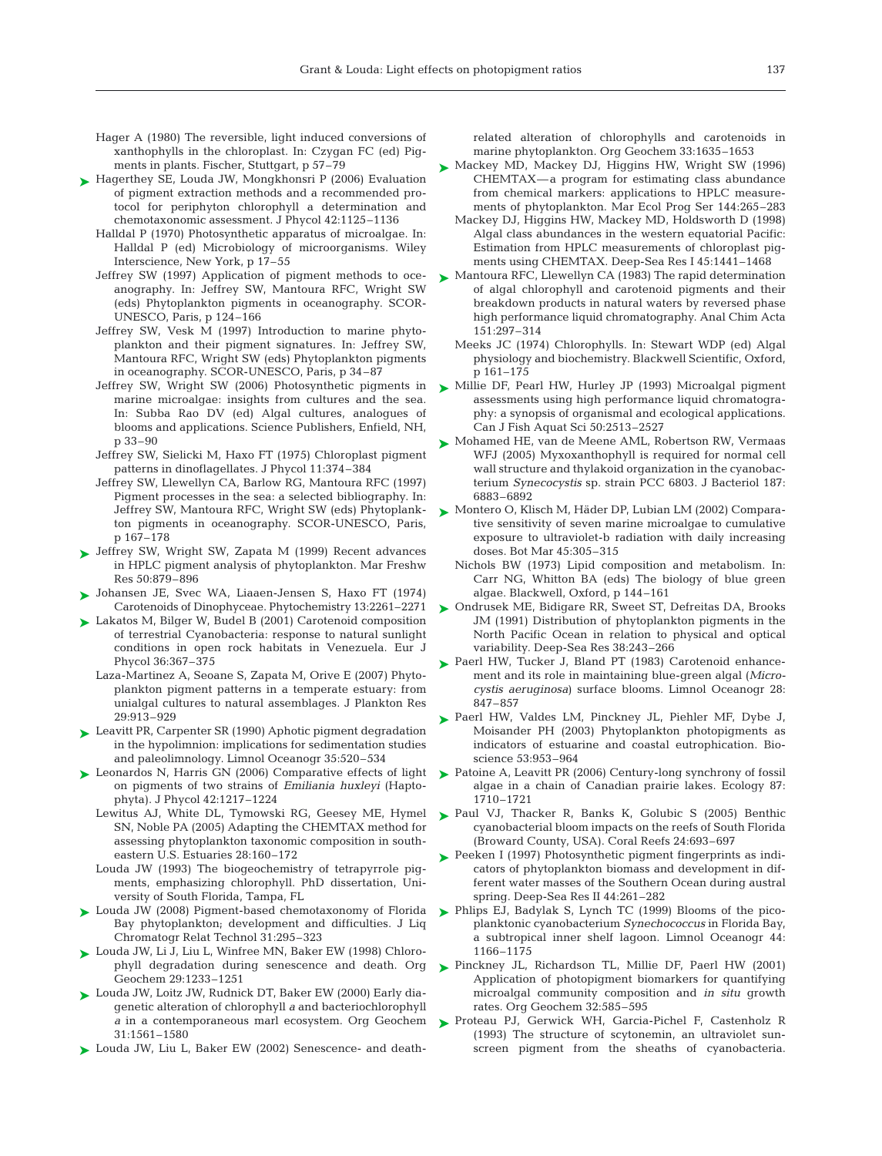- Hager A (1980) The reversible, light induced conversions of xanthophylls in the chloroplast. In: Czygan FC (ed) Pigments in plants. Fischer, Stuttgart, p 57–79
- ► Hagerthey SE, Louda JW, Mongkhonsri P (2006) Evaluation of pigment extraction methods and a recommended protocol for periphyton chlorophyll a determination and chemotaxonomic assessment. J Phycol 42:1125–1136
	- Halldal P (1970) Photosynthetic apparatus of microalgae. In: Halldal P (ed) Microbiology of microorganisms. Wiley Interscience, New York, p 17–55
	- Jeffrey SW (1997) Application of pigment methods to oceanography. In: Jeffrey SW, Mantoura RFC, Wright SW (eds) Phytoplankton pigments in oceanography. SCOR-UNESCO, Paris, p 124–166
	- Jeffrey SW, Vesk M (1997) Introduction to marine phytoplankton and their pigment signatures. In: Jeffrey SW, Mantoura RFC, Wright SW (eds) Phytoplankton pigments in oceanography. SCOR-UNESCO, Paris, p 34–87
	- Jeffrey SW, Wright SW (2006) Photosynthetic pigments in marine microalgae: insights from cultures and the sea. In: Subba Rao DV (ed) Algal cultures, analogues of blooms and applications. Science Publishers, Enfield, NH, p 33–90
	- Jeffrey SW, Sielicki M, Haxo FT (1975) Chloroplast pigment patterns in dinoflagellates. J Phycol 11:374–384
	- Jeffrey SW, Llewellyn CA, Barlow RG, Mantoura RFC (1997) Pigment processes in the sea: a selected bibliography. In: Jeffrey SW, Mantoura RFC, Wright SW (eds) Phytoplankton pigments in oceanography. SCOR-UNESCO, Paris, p 167–178
- Jeffrey SW, Wright SW, Zapata M (1999) Recent advances ➤ in HPLC pigment analysis of phytoplankton. Mar Freshw Res 50:879–896
- Johansen JE, Svec WA, Liaaen-Jensen S, Haxo FT (1974) ➤ Carotenoids of Dinophyceae. Phytochemistry 13:2261–2271
- ► Lakatos M, Bilger W, Budel B (2001) Carotenoid composition of terrestrial Cyanobacteria: response to natural sunlight conditions in open rock habitats in Venezuela. Eur J Phycol 36:367–375
	- Laza-Martinez A, Seoane S, Zapata M, Orive E (2007) Phytoplankton pigment patterns in a temperate estuary: from unialgal cultures to natural assemblages. J Plankton Res 29:913–929
- ► Leavitt PR, Carpenter SR (1990) Aphotic pigment degradation in the hypolimnion: implications for sedimentation studies and paleolimnology. Limnol Oceanogr 35:520–534
- ► Leonardos N, Harris GN (2006) Comparative effects of light on pigments of two strains of *Emiliania huxleyi* (Haptophyta). J Phycol 42:1217–1224
	- Lewitus AJ, White DL, Tymowski RG, Geesey ME, Hymel SN, Noble PA (2005) Adapting the CHEMTAX method for assessing phytoplankton taxonomic composition in southeastern U.S. Estuaries 28:160–172
	- Louda JW (1993) The biogeochemistry of tetrapyrrole pigments, emphasizing chlorophyll. PhD dissertation, University of South Florida, Tampa, FL
- ► Louda JW (2008) Pigment-based chemotaxonomy of Florida Bay phytoplankton; development and difficulties. J Liq Chromatogr Relat Technol 31:295–323
- Louda JW, Li J, Liu L, Winfree MN, Baker EW (1998) Chloro-➤ Geochem 29:1233–1251
- Louda JW, Loitz JW, Rudnick DT, Baker EW (2000) Early dia-➤ genetic alteration of chlorophyll *a* and bacteriochlorophyll *a* in a contemporaneous marl ecosystem. Org Geochem 31:1561–1580
- ► Louda JW, Liu L, Baker EW (2002) Senescence- and death-

related alteration of chlorophylls and carotenoids in marine phytoplankton. Org Geochem 33:1635–1653

- ► Mackey MD, Mackey DJ, Higgins HW, Wright SW (1996) CHEMTAX—a program for estimating class abundance from chemical markers: applications to HPLC measurements of phytoplankton. Mar Ecol Prog Ser 144:265–283
	- Mackey DJ, Higgins HW, Mackey MD, Holdsworth D (1998) Algal class abundances in the western equatorial Pacific: Estimation from HPLC measurements of chloroplast pigments using CHEMTAX. Deep-Sea Res I 45:1441–1468
- ► Mantoura RFC, Llewellyn CA (1983) The rapid determination of algal chlorophyll and carotenoid pigments and their breakdown products in natural waters by reversed phase high performance liquid chromatography. Anal Chim Acta 151:297–314
	- Meeks JC (1974) Chlorophylls. In: Stewart WDP (ed) Algal physiology and biochemistry. Blackwell Scientific, Oxford, p 161–175
- Millie DF, Pearl HW, Hurley JP (1993) Microalgal pigment assessments using high performance liquid chromatography: a synopsis of organismal and ecological applications. Can J Fish Aquat Sci 50:2513–2527 ➤
- ► Mohamed HE, van de Meene AML, Robertson RW, Vermaas WFJ (2005) Myxoxanthophyll is required for normal cell wall structure and thylakoid organization in the cyanobacterium *Synecocystis* sp. strain PCC 6803. J Bacteriol 187: 6883–6892
- ► Montero O, Klisch M, Häder DP, Lubian LM (2002) Comparative sensitivity of seven marine microalgae to cumulative exposure to ultraviolet-b radiation with daily increasing doses. Bot Mar 45:305–315
	- Nichols BW (1973) Lipid composition and metabolism. In: Carr NG, Whitton BA (eds) The biology of blue green algae. Blackwell, Oxford, p 144–161
- ► Ondrusek ME, Bidigare RR, Sweet ST, Defreitas DA, Brooks JM (1991) Distribution of phytoplankton pigments in the North Pacific Ocean in relation to physical and optical variability. Deep-Sea Res 38:243–266
- ▶ Paerl HW, Tucker J, Bland PT (1983) Carotenoid enhancement and its role in maintaining blue-green algal (*Microcystis aeruginosa*) surface blooms. Limnol Oceanogr 28: 847–857
- ▶ Paerl HW, Valdes LM, Pinckney JL, Piehler MF, Dybe J, Moisander PH (2003) Phytoplankton photopigments as indicators of estuarine and coastal eutrophication. Bioscience 53:953–964
- ▶ Patoine A, Leavitt PR (2006) Century-long synchrony of fossil algae in a chain of Canadian prairie lakes. Ecology 87: 1710–1721
- ▶ Paul VJ, Thacker R, Banks K, Golubic S (2005) Benthic cyanobacterial bloom impacts on the reefs of South Florida (Broward County, USA). Coral Reefs 24:693–697
- ▶ Peeken I (1997) Photosynthetic pigment fingerprints as indicators of phytoplankton biomass and development in different water masses of the Southern Ocean during austral spring. Deep-Sea Res II 44:261–282
- ► Phlips EJ, Badylak S, Lynch TC (1999) Blooms of the picoplanktonic cyanobacterium *Synechococcus* in Florida Bay, a subtropical inner shelf lagoon. Limnol Oceanogr 44: 1166–1175
- phyll degradation during senescence and death. Org Pinckney JL, Richardson TL, Millie DF, Paerl HW (2001) ➤ Application of photopigment biomarkers for quantifying microalgal community composition and *in situ* growth rates. Org Geochem 32:585–595
	- ▶ Proteau PJ, Gerwick WH, Garcia-Pichel F, Castenholz R (1993) The structure of scytonemin, an ultraviolet sunscreen pigment from the sheaths of cyanobacteria.